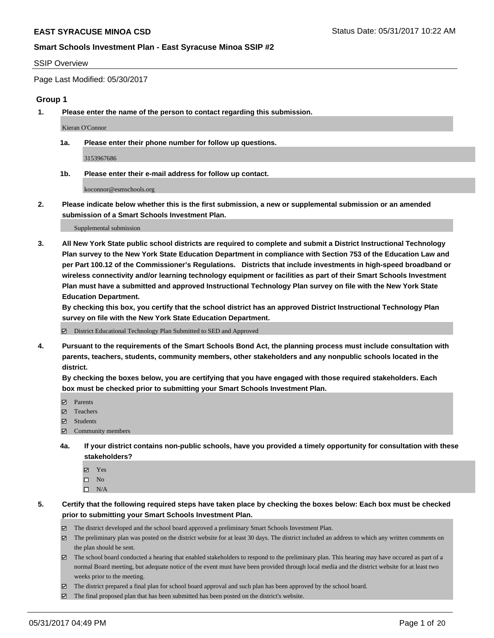#### SSIP Overview

Page Last Modified: 05/30/2017

#### **Group 1**

**1. Please enter the name of the person to contact regarding this submission.**

Kieran O'Connor

**1a. Please enter their phone number for follow up questions.**

3153967686

**1b. Please enter their e-mail address for follow up contact.**

koconnor@esmschools.org

**2. Please indicate below whether this is the first submission, a new or supplemental submission or an amended submission of a Smart Schools Investment Plan.**

Supplemental submission

**3. All New York State public school districts are required to complete and submit a District Instructional Technology Plan survey to the New York State Education Department in compliance with Section 753 of the Education Law and per Part 100.12 of the Commissioner's Regulations. Districts that include investments in high-speed broadband or wireless connectivity and/or learning technology equipment or facilities as part of their Smart Schools Investment Plan must have a submitted and approved Instructional Technology Plan survey on file with the New York State Education Department.** 

**By checking this box, you certify that the school district has an approved District Instructional Technology Plan survey on file with the New York State Education Department.**

District Educational Technology Plan Submitted to SED and Approved

**4. Pursuant to the requirements of the Smart Schools Bond Act, the planning process must include consultation with parents, teachers, students, community members, other stakeholders and any nonpublic schools located in the district.** 

**By checking the boxes below, you are certifying that you have engaged with those required stakeholders. Each box must be checked prior to submitting your Smart Schools Investment Plan.**

- **マ** Parents
- □ Teachers
- Students
- $\Xi$  Community members
- **4a. If your district contains non-public schools, have you provided a timely opportunity for consultation with these stakeholders?**
	- Yes
	- $\hfill \square$  No
	- $\square$  N/A
- **5. Certify that the following required steps have taken place by checking the boxes below: Each box must be checked prior to submitting your Smart Schools Investment Plan.**
	- The district developed and the school board approved a preliminary Smart Schools Investment Plan.
	- $\boxtimes$  The preliminary plan was posted on the district website for at least 30 days. The district included an address to which any written comments on the plan should be sent.
	- $\boxtimes$  The school board conducted a hearing that enabled stakeholders to respond to the preliminary plan. This hearing may have occured as part of a normal Board meeting, but adequate notice of the event must have been provided through local media and the district website for at least two weeks prior to the meeting.
	- The district prepared a final plan for school board approval and such plan has been approved by the school board.
	- $\boxtimes$  The final proposed plan that has been submitted has been posted on the district's website.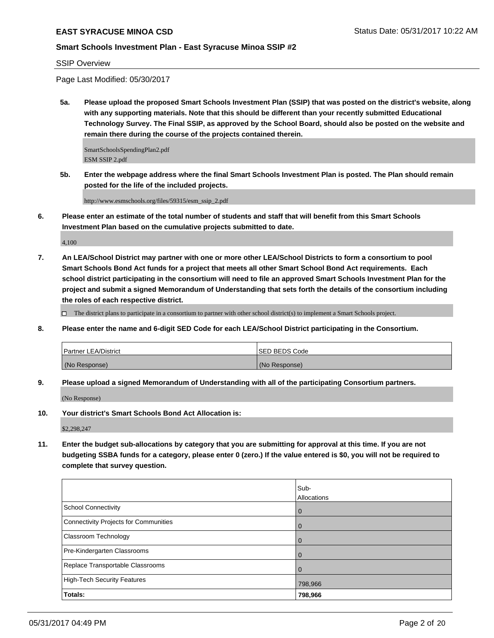SSIP Overview

Page Last Modified: 05/30/2017

**5a. Please upload the proposed Smart Schools Investment Plan (SSIP) that was posted on the district's website, along with any supporting materials. Note that this should be different than your recently submitted Educational Technology Survey. The Final SSIP, as approved by the School Board, should also be posted on the website and remain there during the course of the projects contained therein.**

SmartSchoolsSpendingPlan2.pdf ESM SSIP 2.pdf

**5b. Enter the webpage address where the final Smart Schools Investment Plan is posted. The Plan should remain posted for the life of the included projects.**

http://www.esmschools.org/files/59315/esm\_ssip\_2.pdf

**6. Please enter an estimate of the total number of students and staff that will benefit from this Smart Schools Investment Plan based on the cumulative projects submitted to date.**

4,100

**7. An LEA/School District may partner with one or more other LEA/School Districts to form a consortium to pool Smart Schools Bond Act funds for a project that meets all other Smart School Bond Act requirements. Each school district participating in the consortium will need to file an approved Smart Schools Investment Plan for the project and submit a signed Memorandum of Understanding that sets forth the details of the consortium including the roles of each respective district.**

 $\Box$  The district plans to participate in a consortium to partner with other school district(s) to implement a Smart Schools project.

**8. Please enter the name and 6-digit SED Code for each LEA/School District participating in the Consortium.**

| <b>Partner LEA/District</b> | ISED BEDS Code |
|-----------------------------|----------------|
| (No Response)               | (No Response)  |

**9. Please upload a signed Memorandum of Understanding with all of the participating Consortium partners.**

(No Response)

**10. Your district's Smart Schools Bond Act Allocation is:**

\$2,298,247

**11. Enter the budget sub-allocations by category that you are submitting for approval at this time. If you are not budgeting SSBA funds for a category, please enter 0 (zero.) If the value entered is \$0, you will not be required to complete that survey question.**

|                                       | Sub-           |
|---------------------------------------|----------------|
|                                       | Allocations    |
| <b>School Connectivity</b>            | l 0            |
| Connectivity Projects for Communities | $\overline{0}$ |
| <b>Classroom Technology</b>           | $\Omega$       |
| Pre-Kindergarten Classrooms           | $\overline{0}$ |
| Replace Transportable Classrooms      |                |
| High-Tech Security Features           | 798,966        |
| Totals:                               | 798,966        |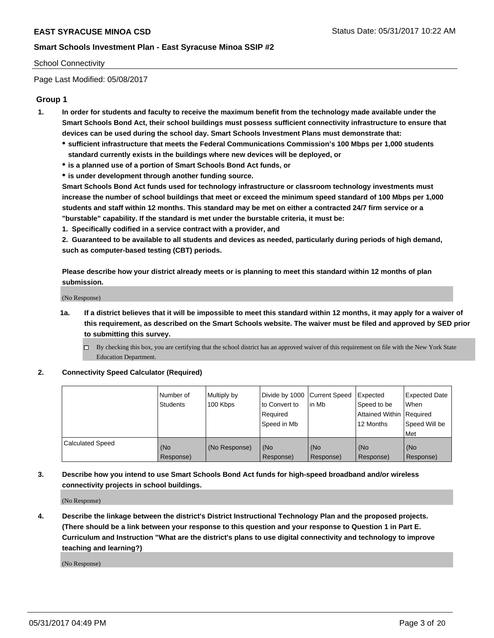#### School Connectivity

Page Last Modified: 05/08/2017

# **Group 1**

- **1. In order for students and faculty to receive the maximum benefit from the technology made available under the Smart Schools Bond Act, their school buildings must possess sufficient connectivity infrastructure to ensure that devices can be used during the school day. Smart Schools Investment Plans must demonstrate that:**
	- **sufficient infrastructure that meets the Federal Communications Commission's 100 Mbps per 1,000 students standard currently exists in the buildings where new devices will be deployed, or**
	- **is a planned use of a portion of Smart Schools Bond Act funds, or**
	- **is under development through another funding source.**

**Smart Schools Bond Act funds used for technology infrastructure or classroom technology investments must increase the number of school buildings that meet or exceed the minimum speed standard of 100 Mbps per 1,000 students and staff within 12 months. This standard may be met on either a contracted 24/7 firm service or a "burstable" capability. If the standard is met under the burstable criteria, it must be:**

**1. Specifically codified in a service contract with a provider, and**

**2. Guaranteed to be available to all students and devices as needed, particularly during periods of high demand, such as computer-based testing (CBT) periods.**

**Please describe how your district already meets or is planning to meet this standard within 12 months of plan submission.**

(No Response)

- **1a. If a district believes that it will be impossible to meet this standard within 12 months, it may apply for a waiver of this requirement, as described on the Smart Schools website. The waiver must be filed and approved by SED prior to submitting this survey.**
	- By checking this box, you are certifying that the school district has an approved waiver of this requirement on file with the New York State Education Department.

#### **2. Connectivity Speed Calculator (Required)**

|                         | l Number of<br><b>Students</b> | Multiply by<br>100 Kbps | Divide by 1000   Current Speed<br>to Convert to<br>Required<br>l Speed in Mb | in Mb            | Expected<br>Speed to be<br>Attained Within Required<br>12 Months | <b>Expected Date</b><br>When<br>Speed Will be<br><b>Met</b> |
|-------------------------|--------------------------------|-------------------------|------------------------------------------------------------------------------|------------------|------------------------------------------------------------------|-------------------------------------------------------------|
| <b>Calculated Speed</b> | (No<br>Response)               | (No Response)           | (No<br>Response)                                                             | (No<br>Response) | (No<br>Response)                                                 | l (No<br>Response)                                          |

# **3. Describe how you intend to use Smart Schools Bond Act funds for high-speed broadband and/or wireless connectivity projects in school buildings.**

(No Response)

**4. Describe the linkage between the district's District Instructional Technology Plan and the proposed projects. (There should be a link between your response to this question and your response to Question 1 in Part E. Curriculum and Instruction "What are the district's plans to use digital connectivity and technology to improve teaching and learning?)**

(No Response)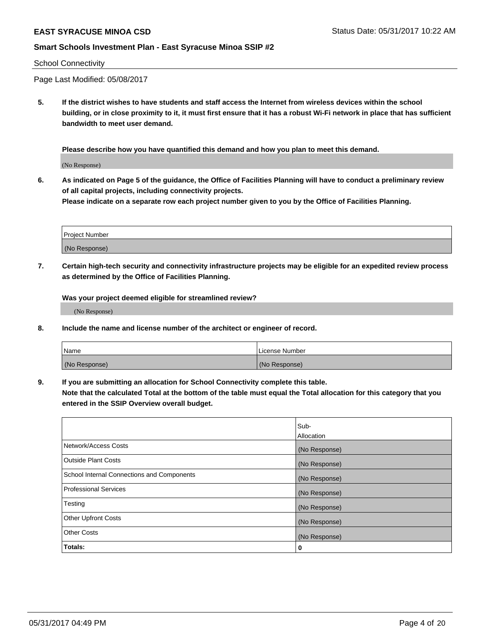#### School Connectivity

Page Last Modified: 05/08/2017

**5. If the district wishes to have students and staff access the Internet from wireless devices within the school building, or in close proximity to it, it must first ensure that it has a robust Wi-Fi network in place that has sufficient bandwidth to meet user demand.**

**Please describe how you have quantified this demand and how you plan to meet this demand.**

(No Response)

**6. As indicated on Page 5 of the guidance, the Office of Facilities Planning will have to conduct a preliminary review of all capital projects, including connectivity projects.**

**Please indicate on a separate row each project number given to you by the Office of Facilities Planning.**

| Project Number |  |
|----------------|--|
|                |  |
| (No Response)  |  |

**7. Certain high-tech security and connectivity infrastructure projects may be eligible for an expedited review process as determined by the Office of Facilities Planning.**

**Was your project deemed eligible for streamlined review?**

(No Response)

**8. Include the name and license number of the architect or engineer of record.**

| <b>Name</b>   | License Number |
|---------------|----------------|
| (No Response) | (No Response)  |

**9. If you are submitting an allocation for School Connectivity complete this table.**

**Note that the calculated Total at the bottom of the table must equal the Total allocation for this category that you entered in the SSIP Overview overall budget.** 

|                                            | Sub-          |
|--------------------------------------------|---------------|
|                                            | Allocation    |
| Network/Access Costs                       | (No Response) |
| <b>Outside Plant Costs</b>                 | (No Response) |
| School Internal Connections and Components | (No Response) |
| <b>Professional Services</b>               | (No Response) |
| Testing                                    | (No Response) |
| <b>Other Upfront Costs</b>                 | (No Response) |
| <b>Other Costs</b>                         | (No Response) |
| Totals:                                    | 0             |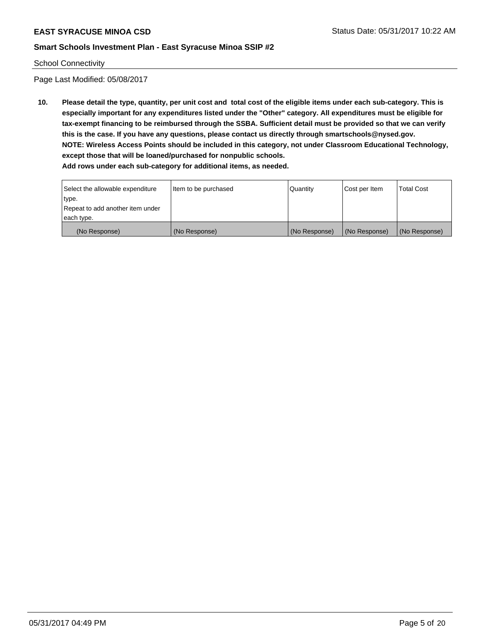#### School Connectivity

Page Last Modified: 05/08/2017

**10. Please detail the type, quantity, per unit cost and total cost of the eligible items under each sub-category. This is especially important for any expenditures listed under the "Other" category. All expenditures must be eligible for tax-exempt financing to be reimbursed through the SSBA. Sufficient detail must be provided so that we can verify this is the case. If you have any questions, please contact us directly through smartschools@nysed.gov. NOTE: Wireless Access Points should be included in this category, not under Classroom Educational Technology, except those that will be loaned/purchased for nonpublic schools. Add rows under each sub-category for additional items, as needed.**

Select the allowable expenditure type. Repeat to add another item under each type. Item to be purchased  $\sqrt{$  Quantity  $\sqrt{}$  Cost per Item  $\sqrt{}$  Total Cost (No Response) (No Response) (No Response) (No Response) (No Response)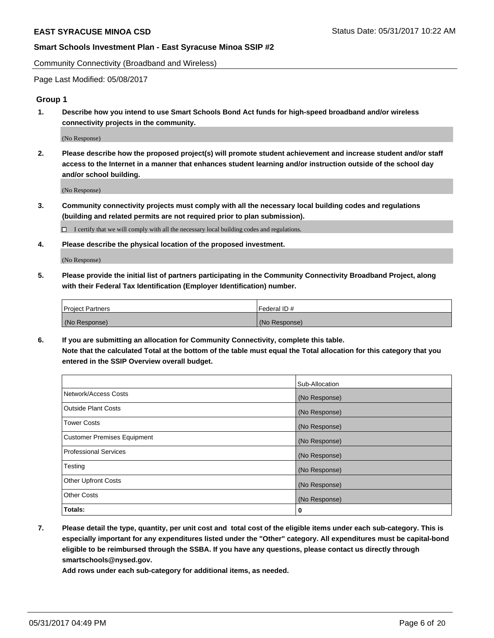Community Connectivity (Broadband and Wireless)

Page Last Modified: 05/08/2017

# **Group 1**

**1. Describe how you intend to use Smart Schools Bond Act funds for high-speed broadband and/or wireless connectivity projects in the community.**

(No Response)

**2. Please describe how the proposed project(s) will promote student achievement and increase student and/or staff access to the Internet in a manner that enhances student learning and/or instruction outside of the school day and/or school building.**

(No Response)

**3. Community connectivity projects must comply with all the necessary local building codes and regulations (building and related permits are not required prior to plan submission).**

 $\Box$  I certify that we will comply with all the necessary local building codes and regulations.

**4. Please describe the physical location of the proposed investment.**

(No Response)

**5. Please provide the initial list of partners participating in the Community Connectivity Broadband Project, along with their Federal Tax Identification (Employer Identification) number.**

| <b>Project Partners</b> | Federal ID#     |
|-------------------------|-----------------|
| (No Response)           | l (No Response) |

**6. If you are submitting an allocation for Community Connectivity, complete this table. Note that the calculated Total at the bottom of the table must equal the Total allocation for this category that you entered in the SSIP Overview overall budget.**

|                                    | Sub-Allocation |
|------------------------------------|----------------|
| Network/Access Costs               | (No Response)  |
| Outside Plant Costs                | (No Response)  |
| <b>Tower Costs</b>                 | (No Response)  |
| <b>Customer Premises Equipment</b> | (No Response)  |
| <b>Professional Services</b>       | (No Response)  |
| Testing                            | (No Response)  |
| <b>Other Upfront Costs</b>         | (No Response)  |
| <b>Other Costs</b>                 | (No Response)  |
| Totals:                            | 0              |

**7. Please detail the type, quantity, per unit cost and total cost of the eligible items under each sub-category. This is especially important for any expenditures listed under the "Other" category. All expenditures must be capital-bond eligible to be reimbursed through the SSBA. If you have any questions, please contact us directly through smartschools@nysed.gov.**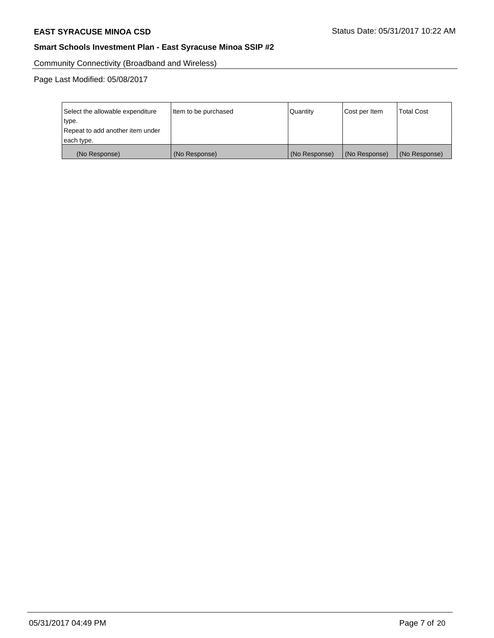Community Connectivity (Broadband and Wireless)

Page Last Modified: 05/08/2017

| Select the allowable expenditure<br>type.<br>Repeat to add another item under | Item to be purchased | Quantity      | Cost per Item | <b>Total Cost</b> |
|-------------------------------------------------------------------------------|----------------------|---------------|---------------|-------------------|
| each type.                                                                    |                      |               |               |                   |
| (No Response)                                                                 | (No Response)        | (No Response) | (No Response) | (No Response)     |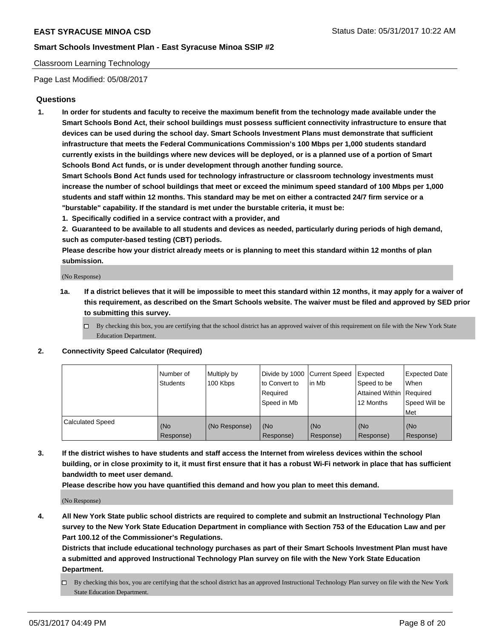## Classroom Learning Technology

Page Last Modified: 05/08/2017

## **Questions**

**1. In order for students and faculty to receive the maximum benefit from the technology made available under the Smart Schools Bond Act, their school buildings must possess sufficient connectivity infrastructure to ensure that devices can be used during the school day. Smart Schools Investment Plans must demonstrate that sufficient infrastructure that meets the Federal Communications Commission's 100 Mbps per 1,000 students standard currently exists in the buildings where new devices will be deployed, or is a planned use of a portion of Smart Schools Bond Act funds, or is under development through another funding source.**

**Smart Schools Bond Act funds used for technology infrastructure or classroom technology investments must increase the number of school buildings that meet or exceed the minimum speed standard of 100 Mbps per 1,000 students and staff within 12 months. This standard may be met on either a contracted 24/7 firm service or a "burstable" capability. If the standard is met under the burstable criteria, it must be:**

- **1. Specifically codified in a service contract with a provider, and**
- **2. Guaranteed to be available to all students and devices as needed, particularly during periods of high demand, such as computer-based testing (CBT) periods.**

**Please describe how your district already meets or is planning to meet this standard within 12 months of plan submission.**

(No Response)

- **1a. If a district believes that it will be impossible to meet this standard within 12 months, it may apply for a waiver of this requirement, as described on the Smart Schools website. The waiver must be filed and approved by SED prior to submitting this survey.**
	- $\Box$  By checking this box, you are certifying that the school district has an approved waiver of this requirement on file with the New York State Education Department.

#### **2. Connectivity Speed Calculator (Required)**

|                         | l Number of<br>Students | Multiply by<br>100 Kbps | Divide by 1000   Current Speed<br>to Convert to<br>Required<br>Speed in Mb | lin Mb           | Expected<br>Speed to be<br>Attained Within Required<br>12 Months | <b>Expected Date</b><br>When<br>Speed Will be<br>Met |
|-------------------------|-------------------------|-------------------------|----------------------------------------------------------------------------|------------------|------------------------------------------------------------------|------------------------------------------------------|
| <b>Calculated Speed</b> | (No<br>Response)        | (No Response)           | (No<br>Response)                                                           | (No<br>Response) | (No<br>Response)                                                 | (No<br>Response)                                     |

**3. If the district wishes to have students and staff access the Internet from wireless devices within the school building, or in close proximity to it, it must first ensure that it has a robust Wi-Fi network in place that has sufficient bandwidth to meet user demand.**

**Please describe how you have quantified this demand and how you plan to meet this demand.**

(No Response)

**4. All New York State public school districts are required to complete and submit an Instructional Technology Plan survey to the New York State Education Department in compliance with Section 753 of the Education Law and per Part 100.12 of the Commissioner's Regulations.**

**Districts that include educational technology purchases as part of their Smart Schools Investment Plan must have a submitted and approved Instructional Technology Plan survey on file with the New York State Education Department.**

 $\Box$  By checking this box, you are certifying that the school district has an approved Instructional Technology Plan survey on file with the New York State Education Department.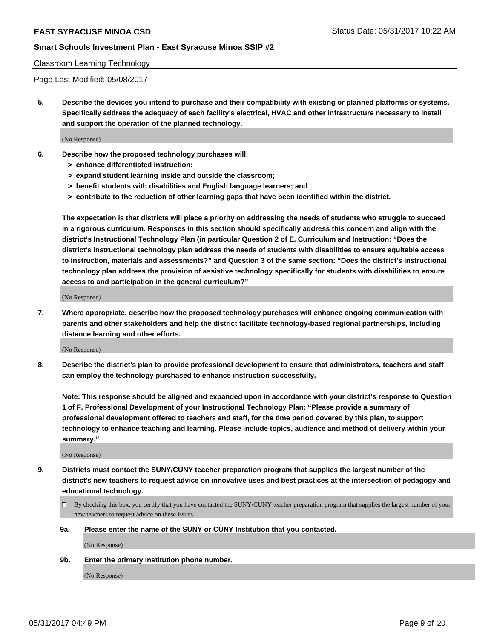## Classroom Learning Technology

Page Last Modified: 05/08/2017

**5. Describe the devices you intend to purchase and their compatibility with existing or planned platforms or systems. Specifically address the adequacy of each facility's electrical, HVAC and other infrastructure necessary to install and support the operation of the planned technology.**

(No Response)

- **6. Describe how the proposed technology purchases will:**
	- **> enhance differentiated instruction;**
	- **> expand student learning inside and outside the classroom;**
	- **> benefit students with disabilities and English language learners; and**
	- **> contribute to the reduction of other learning gaps that have been identified within the district.**

**The expectation is that districts will place a priority on addressing the needs of students who struggle to succeed in a rigorous curriculum. Responses in this section should specifically address this concern and align with the district's Instructional Technology Plan (in particular Question 2 of E. Curriculum and Instruction: "Does the district's instructional technology plan address the needs of students with disabilities to ensure equitable access to instruction, materials and assessments?" and Question 3 of the same section: "Does the district's instructional technology plan address the provision of assistive technology specifically for students with disabilities to ensure access to and participation in the general curriculum?"**

(No Response)

**7. Where appropriate, describe how the proposed technology purchases will enhance ongoing communication with parents and other stakeholders and help the district facilitate technology-based regional partnerships, including distance learning and other efforts.**

(No Response)

**8. Describe the district's plan to provide professional development to ensure that administrators, teachers and staff can employ the technology purchased to enhance instruction successfully.**

**Note: This response should be aligned and expanded upon in accordance with your district's response to Question 1 of F. Professional Development of your Instructional Technology Plan: "Please provide a summary of professional development offered to teachers and staff, for the time period covered by this plan, to support technology to enhance teaching and learning. Please include topics, audience and method of delivery within your summary."**

(No Response)

- **9. Districts must contact the SUNY/CUNY teacher preparation program that supplies the largest number of the district's new teachers to request advice on innovative uses and best practices at the intersection of pedagogy and educational technology.**
	- By checking this box, you certify that you have contacted the SUNY/CUNY teacher preparation program that supplies the largest number of your new teachers to request advice on these issues.
	- **9a. Please enter the name of the SUNY or CUNY Institution that you contacted.**

(No Response)

**9b. Enter the primary Institution phone number.**

(No Response)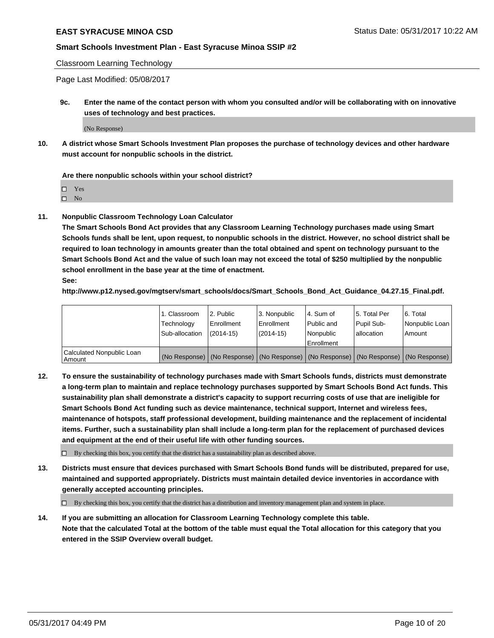Classroom Learning Technology

Page Last Modified: 05/08/2017

**9c. Enter the name of the contact person with whom you consulted and/or will be collaborating with on innovative uses of technology and best practices.**

(No Response)

**10. A district whose Smart Schools Investment Plan proposes the purchase of technology devices and other hardware must account for nonpublic schools in the district.**

**Are there nonpublic schools within your school district?**

Yes

 $\square$  No

**11. Nonpublic Classroom Technology Loan Calculator**

**The Smart Schools Bond Act provides that any Classroom Learning Technology purchases made using Smart Schools funds shall be lent, upon request, to nonpublic schools in the district. However, no school district shall be required to loan technology in amounts greater than the total obtained and spent on technology pursuant to the Smart Schools Bond Act and the value of such loan may not exceed the total of \$250 multiplied by the nonpublic school enrollment in the base year at the time of enactment.**

**See:**

**http://www.p12.nysed.gov/mgtserv/smart\_schools/docs/Smart\_Schools\_Bond\_Act\_Guidance\_04.27.15\_Final.pdf.**

|                                       | 1. Classroom   | l 2. Public   | 3. Nonpublic | l 4. Sum of | 15. Total Per                                                                                 | 6. Total       |
|---------------------------------------|----------------|---------------|--------------|-------------|-----------------------------------------------------------------------------------------------|----------------|
|                                       | Technology     | Enrollment    | Enrollment   | Public and  | Pupil Sub-                                                                                    | Nonpublic Loan |
|                                       | Sub-allocation | $(2014 - 15)$ | $(2014-15)$  | l Nonpublic | allocation                                                                                    | Amount         |
|                                       |                |               |              | Enrollment  |                                                                                               |                |
| Calculated Nonpublic Loan<br>  Amount |                |               |              |             | (No Response)   (No Response)   (No Response)   (No Response)   (No Response)   (No Response) |                |

**12. To ensure the sustainability of technology purchases made with Smart Schools funds, districts must demonstrate a long-term plan to maintain and replace technology purchases supported by Smart Schools Bond Act funds. This sustainability plan shall demonstrate a district's capacity to support recurring costs of use that are ineligible for Smart Schools Bond Act funding such as device maintenance, technical support, Internet and wireless fees, maintenance of hotspots, staff professional development, building maintenance and the replacement of incidental items. Further, such a sustainability plan shall include a long-term plan for the replacement of purchased devices and equipment at the end of their useful life with other funding sources.**

 $\Box$  By checking this box, you certify that the district has a sustainability plan as described above.

**13. Districts must ensure that devices purchased with Smart Schools Bond funds will be distributed, prepared for use, maintained and supported appropriately. Districts must maintain detailed device inventories in accordance with generally accepted accounting principles.**

By checking this box, you certify that the district has a distribution and inventory management plan and system in place.

**14. If you are submitting an allocation for Classroom Learning Technology complete this table. Note that the calculated Total at the bottom of the table must equal the Total allocation for this category that you entered in the SSIP Overview overall budget.**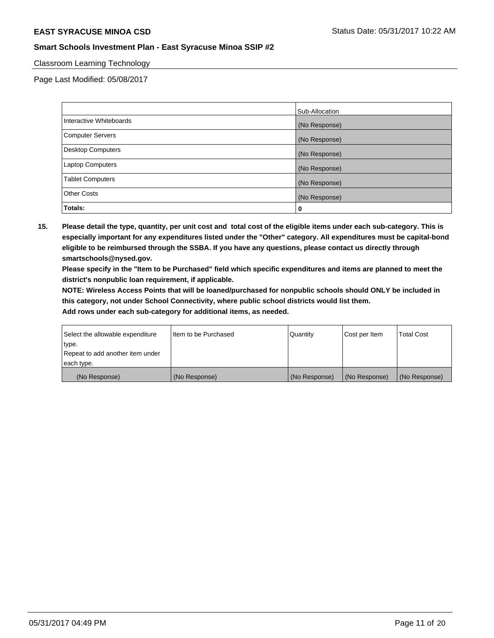## Classroom Learning Technology

Page Last Modified: 05/08/2017

|                          | Sub-Allocation |
|--------------------------|----------------|
| Interactive Whiteboards  | (No Response)  |
| Computer Servers         | (No Response)  |
| <b>Desktop Computers</b> | (No Response)  |
| <b>Laptop Computers</b>  | (No Response)  |
| <b>Tablet Computers</b>  | (No Response)  |
| <b>Other Costs</b>       | (No Response)  |
| Totals:                  | 0              |

**15. Please detail the type, quantity, per unit cost and total cost of the eligible items under each sub-category. This is especially important for any expenditures listed under the "Other" category. All expenditures must be capital-bond eligible to be reimbursed through the SSBA. If you have any questions, please contact us directly through smartschools@nysed.gov.**

**Please specify in the "Item to be Purchased" field which specific expenditures and items are planned to meet the district's nonpublic loan requirement, if applicable.**

**NOTE: Wireless Access Points that will be loaned/purchased for nonpublic schools should ONLY be included in this category, not under School Connectivity, where public school districts would list them.**

| Select the allowable expenditure<br>∣type. | Iltem to be Purchased | Quantity      | Cost per Item | <b>Total Cost</b> |
|--------------------------------------------|-----------------------|---------------|---------------|-------------------|
| Repeat to add another item under           |                       |               |               |                   |
| each type.                                 |                       |               |               |                   |
| (No Response)                              | (No Response)         | (No Response) | (No Response) | (No Response)     |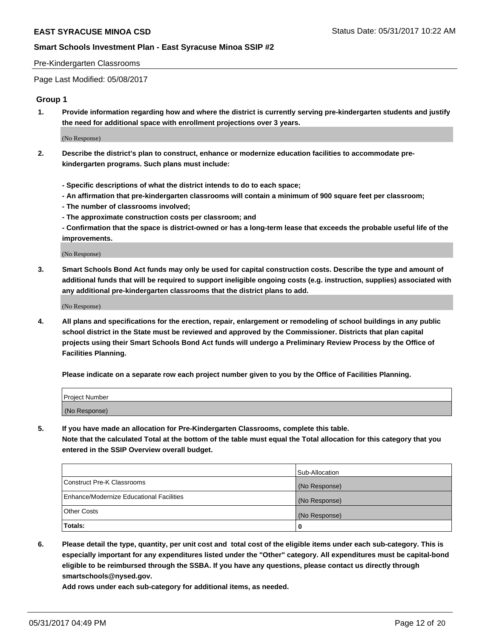#### Pre-Kindergarten Classrooms

Page Last Modified: 05/08/2017

## **Group 1**

**1. Provide information regarding how and where the district is currently serving pre-kindergarten students and justify the need for additional space with enrollment projections over 3 years.**

(No Response)

- **2. Describe the district's plan to construct, enhance or modernize education facilities to accommodate prekindergarten programs. Such plans must include:**
	- **Specific descriptions of what the district intends to do to each space;**
	- **An affirmation that pre-kindergarten classrooms will contain a minimum of 900 square feet per classroom;**
	- **The number of classrooms involved;**
	- **The approximate construction costs per classroom; and**
	- **Confirmation that the space is district-owned or has a long-term lease that exceeds the probable useful life of the improvements.**

(No Response)

**3. Smart Schools Bond Act funds may only be used for capital construction costs. Describe the type and amount of additional funds that will be required to support ineligible ongoing costs (e.g. instruction, supplies) associated with any additional pre-kindergarten classrooms that the district plans to add.**

(No Response)

**4. All plans and specifications for the erection, repair, enlargement or remodeling of school buildings in any public school district in the State must be reviewed and approved by the Commissioner. Districts that plan capital projects using their Smart Schools Bond Act funds will undergo a Preliminary Review Process by the Office of Facilities Planning.**

**Please indicate on a separate row each project number given to you by the Office of Facilities Planning.**

| Project Number |  |
|----------------|--|
| (No Response)  |  |

**5. If you have made an allocation for Pre-Kindergarten Classrooms, complete this table. Note that the calculated Total at the bottom of the table must equal the Total allocation for this category that you entered in the SSIP Overview overall budget.**

| Totals:                                  | 0              |
|------------------------------------------|----------------|
| Other Costs                              | (No Response)  |
| Enhance/Modernize Educational Facilities | (No Response)  |
| Construct Pre-K Classrooms               | (No Response)  |
|                                          | Sub-Allocation |

**6. Please detail the type, quantity, per unit cost and total cost of the eligible items under each sub-category. This is especially important for any expenditures listed under the "Other" category. All expenditures must be capital-bond eligible to be reimbursed through the SSBA. If you have any questions, please contact us directly through smartschools@nysed.gov.**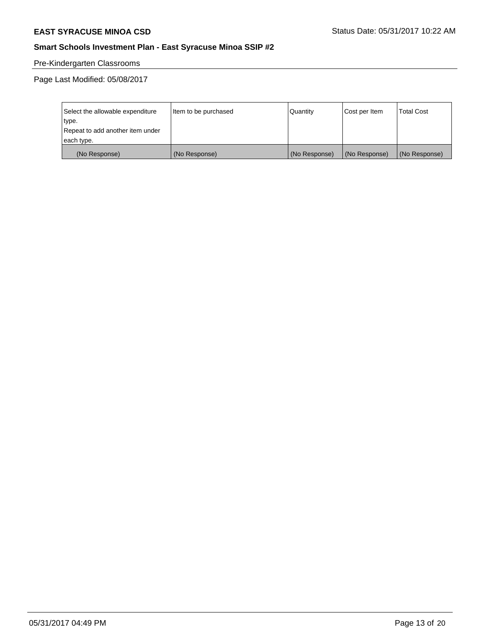# Pre-Kindergarten Classrooms

Page Last Modified: 05/08/2017

| Select the allowable expenditure | Item to be purchased | Quantity      | Cost per Item | <b>Total Cost</b> |
|----------------------------------|----------------------|---------------|---------------|-------------------|
| type.                            |                      |               |               |                   |
| Repeat to add another item under |                      |               |               |                   |
| each type.                       |                      |               |               |                   |
| (No Response)                    | (No Response)        | (No Response) | (No Response) | (No Response)     |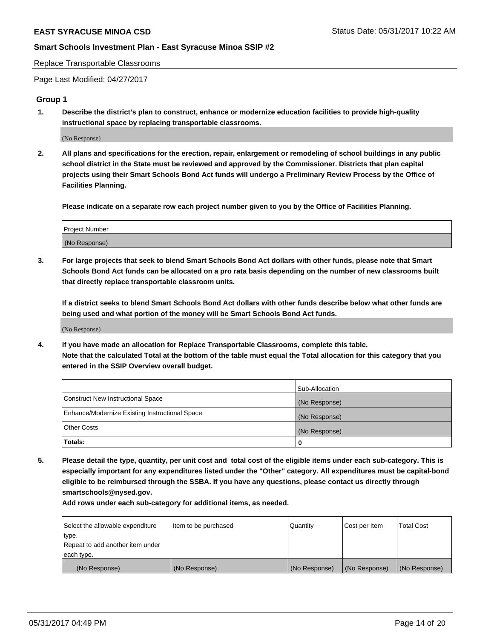Replace Transportable Classrooms

Page Last Modified: 04/27/2017

#### **Group 1**

**1. Describe the district's plan to construct, enhance or modernize education facilities to provide high-quality instructional space by replacing transportable classrooms.**

(No Response)

**2. All plans and specifications for the erection, repair, enlargement or remodeling of school buildings in any public school district in the State must be reviewed and approved by the Commissioner. Districts that plan capital projects using their Smart Schools Bond Act funds will undergo a Preliminary Review Process by the Office of Facilities Planning.**

**Please indicate on a separate row each project number given to you by the Office of Facilities Planning.**

| Project Number |  |
|----------------|--|
| (No Response)  |  |

**3. For large projects that seek to blend Smart Schools Bond Act dollars with other funds, please note that Smart Schools Bond Act funds can be allocated on a pro rata basis depending on the number of new classrooms built that directly replace transportable classroom units.**

**If a district seeks to blend Smart Schools Bond Act dollars with other funds describe below what other funds are being used and what portion of the money will be Smart Schools Bond Act funds.**

(No Response)

**4. If you have made an allocation for Replace Transportable Classrooms, complete this table. Note that the calculated Total at the bottom of the table must equal the Total allocation for this category that you entered in the SSIP Overview overall budget.**

|                                                | Sub-Allocation |
|------------------------------------------------|----------------|
| Construct New Instructional Space              | (No Response)  |
| Enhance/Modernize Existing Instructional Space | (No Response)  |
| Other Costs                                    | (No Response)  |
| Totals:                                        | 0              |

**5. Please detail the type, quantity, per unit cost and total cost of the eligible items under each sub-category. This is especially important for any expenditures listed under the "Other" category. All expenditures must be capital-bond eligible to be reimbursed through the SSBA. If you have any questions, please contact us directly through smartschools@nysed.gov.**

| Select the allowable expenditure | Item to be purchased | Quantity      | Cost per Item | <b>Total Cost</b> |
|----------------------------------|----------------------|---------------|---------------|-------------------|
| type.                            |                      |               |               |                   |
| Repeat to add another item under |                      |               |               |                   |
| each type.                       |                      |               |               |                   |
| (No Response)                    | (No Response)        | (No Response) | (No Response) | (No Response)     |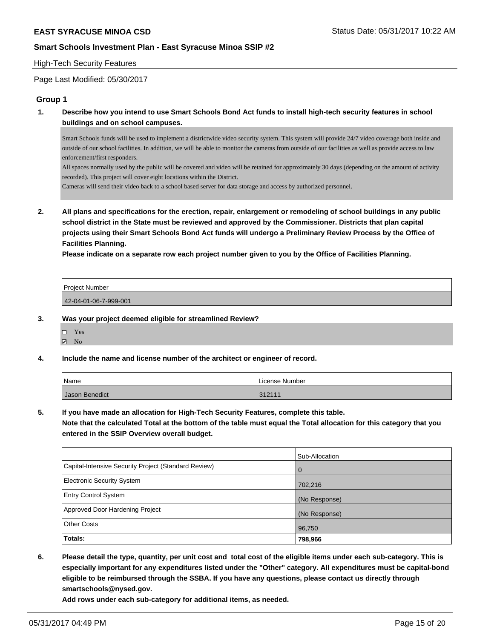#### High-Tech Security Features

Page Last Modified: 05/30/2017

# **Group 1**

**1. Describe how you intend to use Smart Schools Bond Act funds to install high-tech security features in school buildings and on school campuses.**

Smart Schools funds will be used to implement a districtwide video security system. This system will provide 24/7 video coverage both inside and outside of our school facilities. In addition, we will be able to monitor the cameras from outside of our facilities as well as provide access to law enforcement/first responders.

All spaces normally used by the public will be covered and video will be retained for approximately 30 days (depending on the amount of activity recorded). This project will cover eight locations within the District.

Cameras will send their video back to a school based server for data storage and access by authorized personnel.

**2. All plans and specifications for the erection, repair, enlargement or remodeling of school buildings in any public school district in the State must be reviewed and approved by the Commissioner. Districts that plan capital projects using their Smart Schools Bond Act funds will undergo a Preliminary Review Process by the Office of Facilities Planning.** 

**Please indicate on a separate row each project number given to you by the Office of Facilities Planning.**

| <b>Project Number</b> |  |
|-----------------------|--|
| 42-04-01-06-7-999-001 |  |

- **3. Was your project deemed eligible for streamlined Review?**
	- □ Yes
	- $\boxtimes$  No
- **4. Include the name and license number of the architect or engineer of record.**

| Name           | License Number |
|----------------|----------------|
| Jason Benedict | 312111         |

**5. If you have made an allocation for High-Tech Security Features, complete this table.**

**Note that the calculated Total at the bottom of the table must equal the Total allocation for this category that you entered in the SSIP Overview overall budget.**

|                                                      | Sub-Allocation |
|------------------------------------------------------|----------------|
| Capital-Intensive Security Project (Standard Review) | l 0            |
| Electronic Security System                           | 702,216        |
| <b>Entry Control System</b>                          | (No Response)  |
| Approved Door Hardening Project                      | (No Response)  |
| <b>Other Costs</b>                                   | 96,750         |
| Totals:                                              | 798,966        |

**6. Please detail the type, quantity, per unit cost and total cost of the eligible items under each sub-category. This is especially important for any expenditures listed under the "Other" category. All expenditures must be capital-bond eligible to be reimbursed through the SSBA. If you have any questions, please contact us directly through smartschools@nysed.gov.**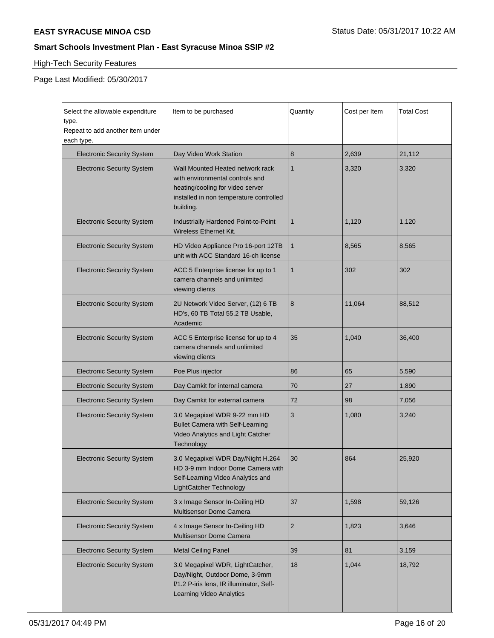# High-Tech Security Features

Page Last Modified: 05/30/2017

| Select the allowable expenditure<br>type.<br>Repeat to add another item under<br>each type. | Item to be purchased                                                                                                                                            | Quantity     | Cost per Item | <b>Total Cost</b> |
|---------------------------------------------------------------------------------------------|-----------------------------------------------------------------------------------------------------------------------------------------------------------------|--------------|---------------|-------------------|
| <b>Electronic Security System</b>                                                           | Day Video Work Station                                                                                                                                          | 8            | 2,639         | 21,112            |
| <b>Electronic Security System</b>                                                           | Wall Mounted Heated network rack<br>with environmental controls and<br>heating/cooling for video server<br>installed in non temperature controlled<br>building. | $\mathbf{1}$ | 3,320         | 3,320             |
| <b>Electronic Security System</b>                                                           | Industrially Hardened Point-to-Point<br>Wireless Ethernet Kit.                                                                                                  | 1            | 1,120         | 1,120             |
| <b>Electronic Security System</b>                                                           | HD Video Appliance Pro 16-port 12TB<br>unit with ACC Standard 16-ch license                                                                                     | 1            | 8,565         | 8,565             |
| <b>Electronic Security System</b>                                                           | ACC 5 Enterprise license for up to 1<br>camera channels and unlimited<br>viewing clients                                                                        | 1            | 302           | 302               |
| <b>Electronic Security System</b>                                                           | 2U Network Video Server, (12) 6 TB<br>HD's, 60 TB Total 55.2 TB Usable,<br>Academic                                                                             | 8            | 11,064        | 88,512            |
| <b>Electronic Security System</b>                                                           | ACC 5 Enterprise license for up to 4<br>camera channels and unlimited<br>viewing clients                                                                        | 35           | 1,040         | 36,400            |
| <b>Electronic Security System</b>                                                           | Poe Plus injector                                                                                                                                               | 86           | 65            | 5,590             |
| <b>Electronic Security System</b>                                                           | Day Camkit for internal camera                                                                                                                                  | 70           | 27            | 1,890             |
| <b>Electronic Security System</b>                                                           | Day Camkit for external camera                                                                                                                                  | 72           | 98            | 7,056             |
| <b>Electronic Security System</b>                                                           | 3.0 Megapixel WDR 9-22 mm HD<br><b>Bullet Camera with Self-Learning</b><br>Video Analytics and Light Catcher<br>Technology                                      | 3            | 1,080         | 3,240             |
| <b>Electronic Security System</b>                                                           | 3.0 Megapixel WDR Day/Night H.264<br>HD 3-9 mm Indoor Dome Camera with<br>Self-Learning Video Analytics and<br>LightCatcher Technology                          | 30           | 864           | 25,920            |
| <b>Electronic Security System</b>                                                           | 3 x Image Sensor In-Ceiling HD<br>Multisensor Dome Camera                                                                                                       | 37           | 1,598         | 59,126            |
| <b>Electronic Security System</b>                                                           | 4 x Image Sensor In-Ceiling HD<br>Multisensor Dome Camera                                                                                                       | 2            | 1,823         | 3,646             |
| <b>Electronic Security System</b>                                                           | <b>Metal Ceiling Panel</b>                                                                                                                                      | 39           | 81            | 3,159             |
| <b>Electronic Security System</b>                                                           | 3.0 Megapixel WDR, LightCatcher,<br>Day/Night, Outdoor Dome, 3-9mm<br>f/1.2 P-iris lens, IR illuminator, Self-<br>Learning Video Analytics                      | 18           | 1,044         | 18,792            |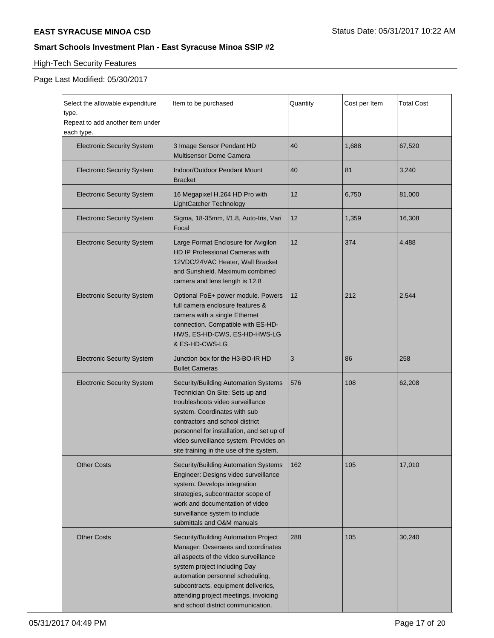# High-Tech Security Features

Page Last Modified: 05/30/2017

| Select the allowable expenditure<br>type.<br>Repeat to add another item under | Item to be purchased                                                                                                                                                                                                                                                                                             | Quantity | Cost per Item | <b>Total Cost</b> |
|-------------------------------------------------------------------------------|------------------------------------------------------------------------------------------------------------------------------------------------------------------------------------------------------------------------------------------------------------------------------------------------------------------|----------|---------------|-------------------|
| each type.                                                                    |                                                                                                                                                                                                                                                                                                                  |          |               |                   |
| <b>Electronic Security System</b>                                             | 3 Image Sensor Pendant HD<br>Multisensor Dome Camera                                                                                                                                                                                                                                                             | 40       | 1,688         | 67,520            |
| <b>Electronic Security System</b>                                             | <b>Indoor/Outdoor Pendant Mount</b><br><b>Bracket</b>                                                                                                                                                                                                                                                            | 40       | 81            | 3,240             |
| <b>Electronic Security System</b>                                             | 16 Megapixel H.264 HD Pro with<br>LightCatcher Technology                                                                                                                                                                                                                                                        | 12       | 6,750         | 81,000            |
| <b>Electronic Security System</b>                                             | Sigma, 18-35mm, f/1.8, Auto-Iris, Vari<br>Focal                                                                                                                                                                                                                                                                  | 12       | 1,359         | 16,308            |
| <b>Electronic Security System</b>                                             | Large Format Enclosure for Avigilon<br>HD IP Professional Cameras with<br>12VDC/24VAC Heater, Wall Bracket<br>and Sunshield. Maximum combined<br>camera and lens length is 12.8                                                                                                                                  | 12       | 374           | 4,488             |
| <b>Electronic Security System</b>                                             | Optional PoE+ power module. Powers<br>full camera enclosure features &<br>camera with a single Ethernet<br>connection. Compatible with ES-HD-<br>HWS, ES-HD-CWS, ES-HD-HWS-LG<br>& ES-HD-CWS-LG                                                                                                                  | 12       | 212           | 2,544             |
| <b>Electronic Security System</b>                                             | Junction box for the H3-BO-IR HD<br><b>Bullet Cameras</b>                                                                                                                                                                                                                                                        | 3        | 86            | 258               |
| <b>Electronic Security System</b>                                             | Security/Building Automation Systems<br>Technician On Site: Sets up and<br>troubleshoots video surveillance<br>system. Coordinates with sub<br>contractors and school district<br>personnel for installation, and set up of<br>video surveillance system. Provides on<br>site training in the use of the system. | 576      | 108           | 62,208            |
| <b>Other Costs</b>                                                            | Security/Building Automation Systems<br>Engineer: Designs video surveillance<br>system. Develops integration<br>strategies, subcontractor scope of<br>work and documentation of video<br>surveillance system to include<br>submittals and O&M manuals                                                            | 162      | 105           | 17,010            |
| <b>Other Costs</b>                                                            | Security/Building Automation Project<br>Manager: Ovsersees and coordinates<br>all aspects of the video surveillance<br>system project including Day<br>automation personnel scheduling,<br>subcontracts, equipment deliveries,<br>attending project meetings, invoicing<br>and school district communication.    | 288      | 105           | 30,240            |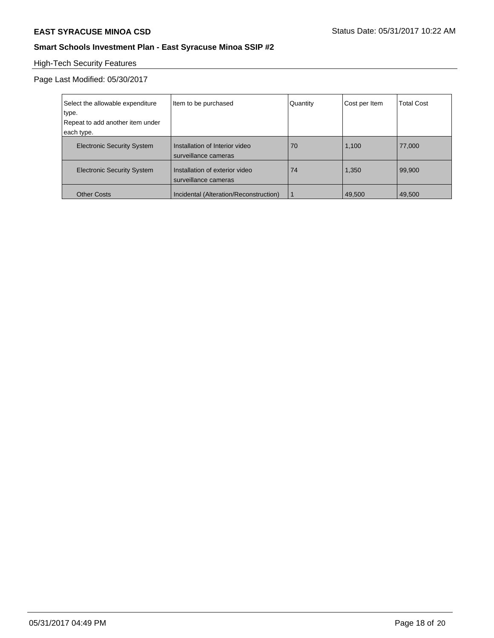# High-Tech Security Features

Page Last Modified: 05/30/2017

| Select the allowable expenditure<br>type.<br>Repeat to add another item under | Item to be purchased                                   | Quantity | Cost per Item | <b>Total Cost</b> |
|-------------------------------------------------------------------------------|--------------------------------------------------------|----------|---------------|-------------------|
| each type.                                                                    |                                                        |          |               |                   |
| <b>Electronic Security System</b>                                             | Installation of Interior video<br>surveillance cameras | 70       | 1,100         | 77,000            |
| <b>Electronic Security System</b>                                             | Installation of exterior video<br>surveillance cameras | 74       | 1,350         | 99,900            |
| <b>Other Costs</b>                                                            | Incidental (Alteration/Reconstruction)                 |          | 49,500        | 49,500            |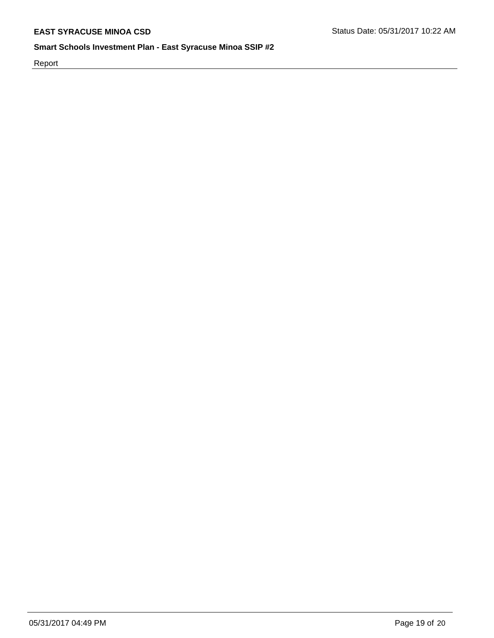Report